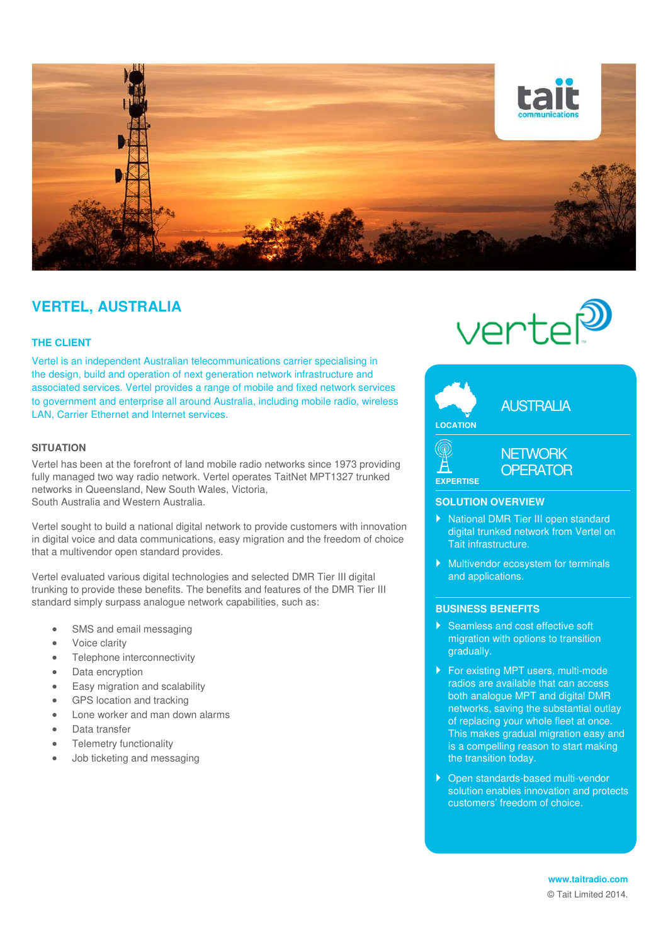

# **VERTEL, AUSTRALIA**

## **THE CLIENT**

Vertel is an independent Australian telecommunications carrier specialising in the design, build and operation of next generation network infrastructure and associated services. Vertel provides a range of mobile and fixed network services to government and enterprise all around Australia, including mobile radio, wireless LAN, Carrier Ethernet and Internet services.

# **SITUATION**

Vertel has been at the forefront of land mobile radio networks since 1973 providing fully managed two way radio network. Vertel operates TaitNet MPT1327 trunked networks in Queensland, New South Wales, Victoria, South Australia and Western Australia.

Vertel sought to build a national digital network to provide customers with innovation in digital voice and data communications, easy migration and the freedom of choice that a multivendor open standard provides.

Vertel evaluated various digital technologies and selected DMR Tier III digital trunking to provide these benefits. The benefits and features of the DMR Tier III standard simply surpass analogue network capabilities, such as:

- SMS and email messaging
- Voice clarity
- Telephone interconnectivity
- Data encryption
- Easy migration and scalability
- GPS location and tracking
- Lone worker and man down alarms
- Data transfer
- Telemetry functionality
- Job ticketing and messaging





#### **SOLUTION OVERVIEW**

- National DMR Tier III open standard digital trunked network from Vertel on Tait infrastructure.
- Multivendor ecosystem for terminals and applications.

## **BUSINESS BENEFITS**

- Seamless and cost effective soft migration with options to transition gradually.
- ▶ For existing MPT users, multi-mode radios are available that can access both analogue MPT and digital DMR networks, saving the substantial outlay of replacing your whole fleet at once. This makes gradual migration easy and is a compelling reason to start making the transition today.
- ▶ Open standards-based multi-vendor solution enables innovation and protects customers' freedom of choice.